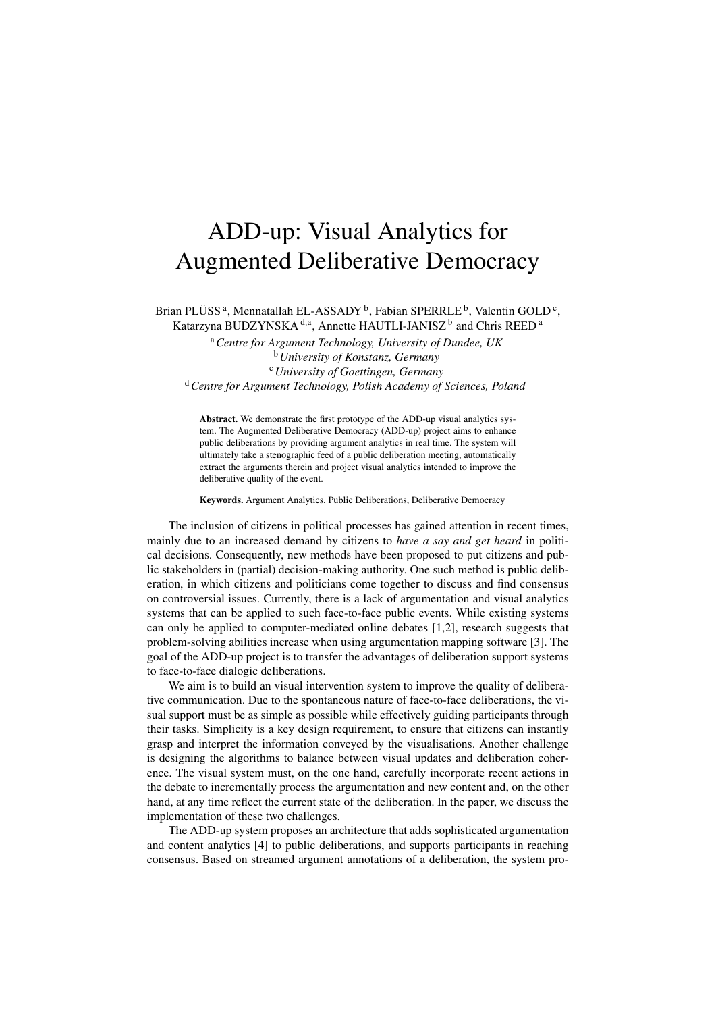## ADD-up: Visual Analytics for Augmented Deliberative Democracy

Brian PLÜSS<sup>a</sup>, Mennatallah EL-ASSADY<sup>b</sup>, Fabian SPERRLE<sup>b</sup>, Valentin GOLD<sup>c</sup>, Katarzyna BUDZYNSKA<sup>d,a</sup>, Annette HAUTLI-JANISZ<sup>b</sup> and Chris REED<sup>a</sup>

> <sup>a</sup>*Centre for Argument Technology, University of Dundee, UK* <sup>b</sup>*University of Konstanz, Germany*

<sup>c</sup>*University of Goettingen, Germany*

<sup>d</sup>*Centre for Argument Technology, Polish Academy of Sciences, Poland*

Abstract. We demonstrate the first prototype of the ADD-up visual analytics system. The Augmented Deliberative Democracy (ADD-up) project aims to enhance public deliberations by providing argument analytics in real time. The system will ultimately take a stenographic feed of a public deliberation meeting, automatically extract the arguments therein and project visual analytics intended to improve the deliberative quality of the event.

Keywords. Argument Analytics, Public Deliberations, Deliberative Democracy

The inclusion of citizens in political processes has gained attention in recent times, mainly due to an increased demand by citizens to *have a say and get heard* in political decisions. Consequently, new methods have been proposed to put citizens and public stakeholders in (partial) decision-making authority. One such method is public deliberation, in which citizens and politicians come together to discuss and find consensus on controversial issues. Currently, there is a lack of argumentation and visual analytics systems that can be applied to such face-to-face public events. While existing systems can only be applied to computer-mediated online debates [1,2], research suggests that problem-solving abilities increase when using argumentation mapping software [3]. The goal of the ADD-up project is to transfer the advantages of deliberation support systems to face-to-face dialogic deliberations.

We aim is to build an visual intervention system to improve the quality of deliberative communication. Due to the spontaneous nature of face-to-face deliberations, the visual support must be as simple as possible while effectively guiding participants through their tasks. Simplicity is a key design requirement, to ensure that citizens can instantly grasp and interpret the information conveyed by the visualisations. Another challenge is designing the algorithms to balance between visual updates and deliberation coherence. The visual system must, on the one hand, carefully incorporate recent actions in the debate to incrementally process the argumentation and new content and, on the other hand, at any time reflect the current state of the deliberation. In the paper, we discuss the implementation of these two challenges.

The ADD-up system proposes an architecture that adds sophisticated argumentation and content analytics [4] to public deliberations, and supports participants in reaching consensus. Based on streamed argument annotations of a deliberation, the system pro-